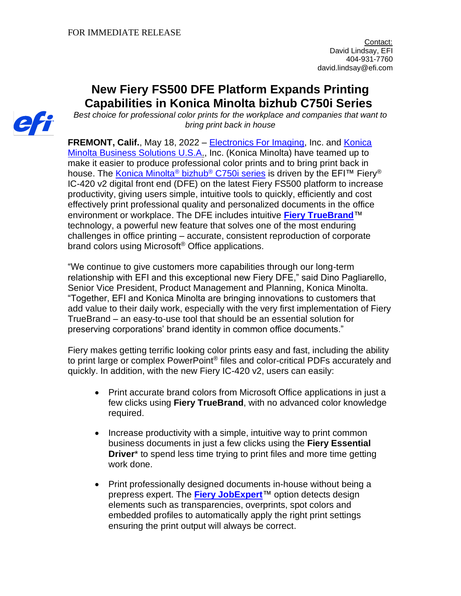# **New Fiery FS500 DFE Platform Expands Printing Capabilities in Konica Minolta bizhub C750i Series**



**FREMONT, Calif.**, May 18, 2022 – [Electronics For Imaging,](http://www.efi.com/) Inc. and Konica [Minolta Business Solutions U.S.A.](https://nam12.safelinks.protection.outlook.com/?url=http%3A%2F%2Fwww.countonkonicaminolta.com%2F&data=05%7C01%7CHeather.Blakley%40efi.com%7Ce886c42433c64957330908da32bce064%7C3fe4532499b245c397517034bae71475%7C0%7C0%7C637878084055318649%7CUnknown%7CTWFpbGZsb3d8eyJWIjoiMC4wLjAwMDAiLCJQIjoiV2luMzIiLCJBTiI6Ik1haWwiLCJXVCI6Mn0%3D%7C3000%7C%7C%7C&sdata=Plykiz8CkdIJl4pTUJiOGkzwg32x3wdHjMW1PhF0BSw%3D&reserved=0), Inc. (Konica Minolta) have teamed up to make it easier to produce professional color prints and to bring print back in house. The [Konica Minolta](https://nam12.safelinks.protection.outlook.com/?url=https%3A%2F%2Fkmbs.konicaminolta.us%2Fkmbs%2Ftechnology%2Fmultifunction%2Fcolor-multi-function%2Fbizhub-c750i&data=05%7C01%7CHeather.Blakley%40efi.com%7Ce886c42433c64957330908da32bce064%7C3fe4532499b245c397517034bae71475%7C0%7C0%7C637878084055318649%7CUnknown%7CTWFpbGZsb3d8eyJWIjoiMC4wLjAwMDAiLCJQIjoiV2luMzIiLCJBTiI6Ik1haWwiLCJXVCI6Mn0%3D%7C3000%7C%7C%7C&sdata=lBcOfAUtq49nvEZ7wf4aPLOILWvNjpgGQJi5HJxqE%2Fw%3D&reserved=0)® bizhub® C750i series is driven by the EFI™ Fiery® IC-420 v2 digital front end (DFE) on the latest Fiery FS500 platform to increase productivity, giving users simple, intuitive tools to quickly, efficiently and cost effectively print professional quality and personalized documents in the office environment or workplace. The DFE includes intuitive **[Fiery TrueBrand](https://www.efi.com/products/fiery-servers-and-software/fiery-office-solutions/fiery-truebrand/overview/?utm_source=press_release&utm_medium=email&utm_campaign=fiery_ic420)**™ technology, a powerful new feature that solves one of the most enduring challenges in office printing – accurate, consistent reproduction of corporate brand colors using Microsoft<sup>®</sup> Office applications.

"We continue to give customers more capabilities through our long-term relationship with EFI and this exceptional new Fiery DFE," said Dino Pagliarello, Senior Vice President, Product Management and Planning, Konica Minolta. "Together, EFI and Konica Minolta are bringing innovations to customers that add value to their daily work, especially with the very first implementation of Fiery TrueBrand – an easy-to-use tool that should be an essential solution for preserving corporations' brand identity in common office documents."

Fiery makes getting terrific looking color prints easy and fast, including the ability to print large or complex PowerPoint® files and color-critical PDFs accurately and quickly. In addition, with the new Fiery IC-420 v2, users can easily:

- Print accurate brand colors from Microsoft Office applications in just a few clicks using **Fiery TrueBrand**, with no advanced color knowledge required.
- Increase productivity with a simple, intuitive way to print common business documents in just a few clicks using the **Fiery Essential Driver**<sup>\*</sup> to spend less time trying to print files and more time getting work done.
- Print professionally designed documents in-house without being a prepress expert. The **[Fiery JobExpert](https://www.efi.com/products/fiery-servers-and-software/fiery-command-workstation/fiery-jobexpert/overview/?utm_source=press_release&utm_medium=email&utm_campaign=fiery_ic420)**™ option detects design elements such as transparencies, overprints, spot colors and embedded profiles to automatically apply the right print settings ensuring the print output will always be correct.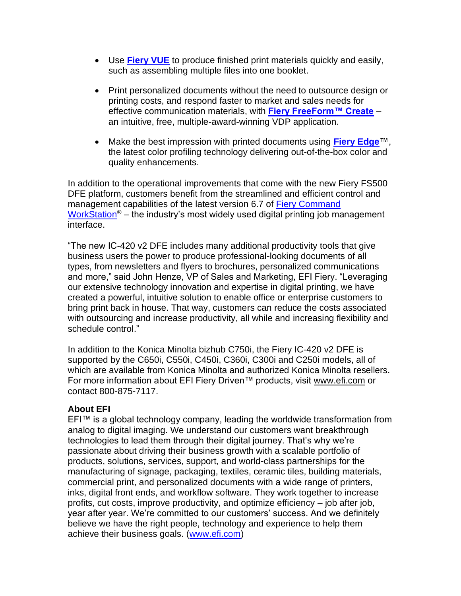- Use **[Fiery VUE](https://www.efi.com/products/fiery-servers-and-software/fiery-office-solutions/fiery-vue/overview/?utm_source=press_release&utm_medium=email&utm_campaign=fiery_ic420)** to produce finished print materials quickly and easily, such as assembling multiple files into one booklet.
- Print personalized documents without the need to outsource design or printing costs, and respond faster to market and sales needs for effective communication materials, with **[Fiery FreeForm™ Create](https://www.efi.com/products/fiery-servers-and-software/fiery-workflow-suite/fiery-freeform-create/overview/?utm_source=press_release&utm_medium=email&utm_campaign=fiery_ic420)** – an intuitive, free, multiple-award-winning VDP application.
- Make the best impression with printed documents using **[Fiery Edge](https://www.efi.com/products/fiery-servers-and-software/fiery-edge/supported-printers/?utm_source=press_release&utm_medium=email&utm_campaign=fiery_ic420)**™, the latest color profiling technology delivering out-of-the-box color and quality enhancements.

In addition to the operational improvements that come with the new Fiery FS500 DFE platform, customers benefit from the streamlined and efficient control and management capabilities of the latest version 6.7 of Fiery Command [WorkStation](https://www.efi.com/products/fiery-servers-and-software/fiery-command-workstation/fiery-command-workstation/overview/?utm_source=press_release&utm_medium=email&utm_campaign=fiery_ic420)<sup>®</sup> – the industry's most widely used digital printing job management interface.

"The new IC-420 v2 DFE includes many additional productivity tools that give business users the power to produce professional-looking documents of all types, from newsletters and flyers to brochures, personalized communications and more," said John Henze, VP of Sales and Marketing, EFI Fiery. "Leveraging our extensive technology innovation and expertise in digital printing, we have created a powerful, intuitive solution to enable office or enterprise customers to bring print back in house. That way, customers can reduce the costs associated with outsourcing and increase productivity, all while and increasing flexibility and schedule control."

In addition to the Konica Minolta bizhub C750i, the Fiery IC-420 v2 DFE is supported by the C650i, C550i, C450i, C360i, C300i and C250i models, all of which are available from Konica Minolta and authorized Konica Minolta resellers. For more information about EFI Fiery Driven™ products, visit www.efi.com or contact 800-875-7117.

## **About EFI**

EFI™ is a global technology company, leading the worldwide transformation from analog to digital imaging. We understand our customers want breakthrough technologies to lead them through their digital journey. That's why we're passionate about driving their business growth with a scalable portfolio of products, solutions, services, support, and world-class partnerships for the manufacturing of signage, packaging, textiles, ceramic tiles, building materials, commercial print, and personalized documents with a wide range of printers, inks, digital front ends, and workflow software. They work together to increase profits, cut costs, improve productivity, and optimize efficiency – job after job, year after year. We're committed to our customers' success. And we definitely believe we have the right people, technology and experience to help them achieve their business goals. [\(www.efi.com\)](http://www.efi.com/)